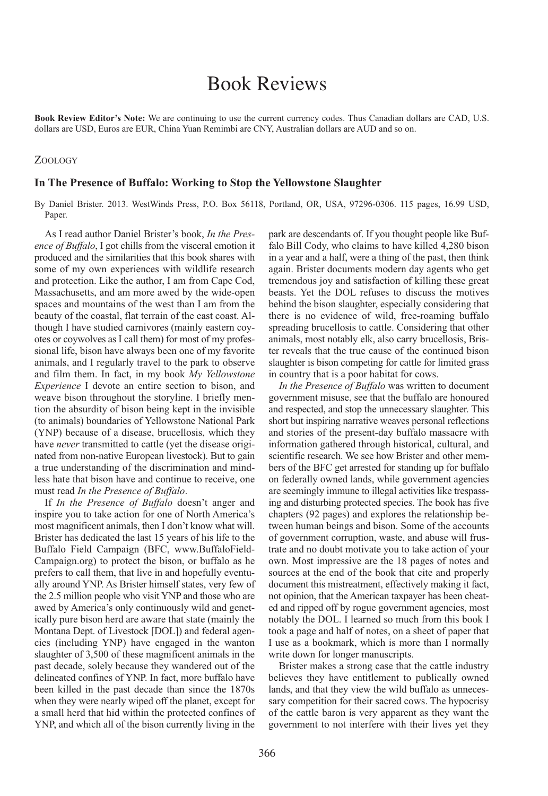## Book Reviews

**Book Review Editor's Note:** We are continuing to use the current currency codes. Thus Canadian dollars are CAD, U.S. dollars are USD, Euros are EUR, China Yuan Remimbi are CNY, Australian dollars are AUD and so on.

## ZOOLOGY

## **In The Presence of Buffalo: Working to Stop the Yellowstone Slaughter**

By Daniel Brister. 2013. WestWinds Press, P.O. Box 56118, Portland, OR, USA, 97296-0306. 115 pages, 16.99 USD, Paper.

As I read author Daniel Brister's book, *In the Presence of Buffalo*, I got chills from the visceral emotion it produced and the similarities that this book shares with some of my own experiences with wildlife research and protection. Like the author, I am from Cape Cod, Massachusetts, and am more awed by the wide-open spaces and mountains of the west than I am from the beauty of the coastal, flat terrain of the east coast. Although I have studied carnivores (mainly eastern coyotes or coywolves as I call them) for most of my professional life, bison have always been one of my favorite animals, and I regularly travel to the park to observe and film them. In fact, in my book *My Yellowstone Experience* I devote an entire section to bison, and weave bison throughout the storyline. I briefly mention the absurdity of bison being kept in the invisible (to animals) boundaries of Yellowstone National Park (YNP) because of a disease, brucellosis, which they have *never* transmitted to cattle (yet the disease originated from non-native European livestock). But to gain a true understanding of the discrimination and mindless hate that bison have and continue to receive, one must read *In the Presence of Buffalo*.

If *In the Presence of Buffalo* doesn't anger and inspire you to take action for one of North America's most magnificent animals, then I don't know what will. Brister has dedicated the last 15 years of his life to the Buffalo Field Campaign (BFC, www.BuffaloField-Campaign.org) to protect the bison, or buffalo as he prefers to call them, that live in and hopefully eventually around YNP. As Brister himself states, very few of the 2.5 million people who visit YNP and those who are awed by America's only continuously wild and genetically pure bison herd are aware that state (mainly the Montana Dept. of Livestock [DOL]) and federal agencies (including YNP) have engaged in the wanton slaughter of 3,500 of these magnificent animals in the past decade, solely because they wandered out of the delineated confines of YNP. In fact, more buffalo have been killed in the past decade than since the 1870s when they were nearly wiped off the planet, except for a small herd that hid within the protected confines of YNP, and which all of the bison currently living in the park are descendants of. If you thought people like Buffalo Bill Cody, who claims to have killed 4,280 bison in a year and a half, were a thing of the past, then think again. Brister documents modern day agents who get tremendous joy and satisfaction of killing these great beasts. Yet the DOL refuses to discuss the motives behind the bison slaughter, especially considering that there is no evidence of wild, free-roaming buffalo spreading brucellosis to cattle. Considering that other animals, most notably elk, also carry brucellosis, Brister reveals that the true cause of the continued bison slaughter is bison competing for cattle for limited grass in country that is a poor habitat for cows.

*In the Presence of Buffalo* was written to document government misuse, see that the buffalo are honoured and respected, and stop the unnecessary slaughter. This short but inspiring narrative weaves personal reflections and stories of the present-day buffalo massacre with information gathered through historical, cultural, and scientific research. We see how Brister and other members of the BFC get arrested for standing up for buffalo on federally owned lands, while government agencies are seemingly immune to illegal activities like trespassing and disturbing protected species. The book has five chapters (92 pages) and explores the relationship between human beings and bison. Some of the accounts of government corruption, waste, and abuse will frustrate and no doubt motivate you to take action of your own. Most impressive are the 18 pages of notes and sources at the end of the book that cite and properly document this mistreatment, effectively making it fact, not opinion, that the American taxpayer has been cheated and ripped off by rogue government agencies, most notably the DOL. I learned so much from this book I took a page and half of notes, on a sheet of paper that I use as a bookmark, which is more than I normally write down for longer manuscripts.

Brister makes a strong case that the cattle industry believes they have entitlement to publically owned lands, and that they view the wild buffalo as unnecessary competition for their sacred cows. The hypocrisy of the cattle baron is very apparent as they want the government to not interfere with their lives yet they